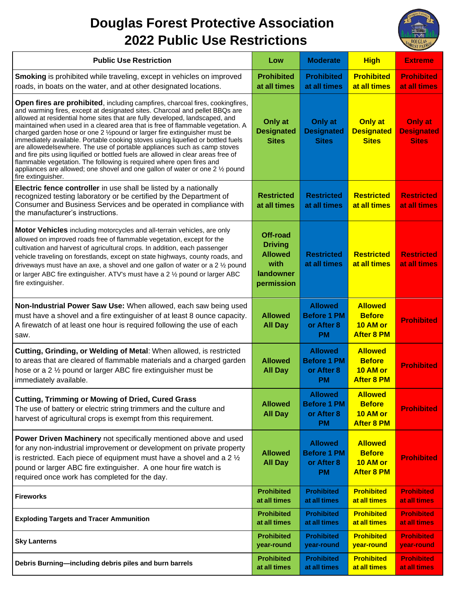## **Douglas Forest Protective Association 2022 Public Use Restrictions**



| <b>Public Use Restriction</b>                                                                                                                                                                                                                                                                                                                                                                                                                                                                                                                                                                                                                                                                                                                                                                                                                         | Low                                                                             | <b>Moderate</b>                                                 | <b>High</b>                                                      | <b>Extreme</b>                                      |
|-------------------------------------------------------------------------------------------------------------------------------------------------------------------------------------------------------------------------------------------------------------------------------------------------------------------------------------------------------------------------------------------------------------------------------------------------------------------------------------------------------------------------------------------------------------------------------------------------------------------------------------------------------------------------------------------------------------------------------------------------------------------------------------------------------------------------------------------------------|---------------------------------------------------------------------------------|-----------------------------------------------------------------|------------------------------------------------------------------|-----------------------------------------------------|
| <b>Smoking</b> is prohibited while traveling, except in vehicles on improved<br>roads, in boats on the water, and at other designated locations.                                                                                                                                                                                                                                                                                                                                                                                                                                                                                                                                                                                                                                                                                                      | <b>Prohibited</b><br>at all times                                               | <b>Prohibited</b><br>at all times                               | <b>Prohibited</b><br>at all times                                | <b>Prohibited</b><br>at all times                   |
| <b>Open fires are prohibited, including campfires, charcoal fires, cookingfires,</b><br>and warming fires, except at designated sites. Charcoal and pellet BBQs are<br>allowed at residential home sites that are fully developed, landscaped, and<br>maintained when used in a cleared area that is free of flammable vegetation. A<br>charged garden hose or one 2 1/2 pound or larger fire extinguisher must be<br>immediately available. Portable cooking stoves using liquefied or bottled fuels<br>are allowedelsewhere. The use of portable appliances such as camp stoves<br>and fire pits using liquified or bottled fuels are allowed in clear areas free of<br>flammable vegetation. The following is required where open fires and<br>appliances are allowed; one shovel and one gallon of water or one 2 1/2 pound<br>fire extinguisher. | Only at<br><b>Designated</b><br><b>Sites</b>                                    | Only at<br><b>Designated</b><br><b>Sites</b>                    | <b>Only at</b><br><b>Designated</b><br><b>Sites</b>              | <b>Only at</b><br><b>Designated</b><br><b>Sites</b> |
| Electric fence controller in use shall be listed by a nationally<br>recognized testing laboratory or be certified by the Department of<br>Consumer and Business Services and be operated in compliance with<br>the manufacturer's instructions.                                                                                                                                                                                                                                                                                                                                                                                                                                                                                                                                                                                                       | <b>Restricted</b><br>at all times                                               | <b>Restricted</b><br>at all times                               | <b>Restricted</b><br>at all times                                | <b>Restricted</b><br>at all times                   |
| Motor Vehicles including motorcycles and all-terrain vehicles, are only<br>allowed on improved roads free of flammable vegetation, except for the<br>cultivation and harvest of agricultural crops. In addition, each passenger<br>vehicle traveling on forestlands, except on state highways, county roads, and<br>driveways must have an axe, a shovel and one gallon of water or a 2 1/2 pound<br>or larger ABC fire extinguisher. ATV's must have a 2 1/2 pound or larger ABC<br>fire extinguisher.                                                                                                                                                                                                                                                                                                                                               | Off-road<br><b>Driving</b><br><b>Allowed</b><br>with<br>landowner<br>permission | <b>Restricted</b><br>at all times                               | <b>Restricted</b><br>at all times                                | <b>Restricted</b><br>at all times                   |
| Non-Industrial Power Saw Use: When allowed, each saw being used<br>must have a shovel and a fire extinguisher of at least 8 ounce capacity.<br>A firewatch of at least one hour is required following the use of each<br>saw.                                                                                                                                                                                                                                                                                                                                                                                                                                                                                                                                                                                                                         | <b>Allowed</b><br><b>All Day</b>                                                | <b>Allowed</b><br><b>Before 1 PM</b><br>or After 8<br><b>PM</b> | <b>Allowed</b><br><b>Before</b><br>10 AM or<br><b>After 8 PM</b> | <b>Prohibited</b>                                   |
| Cutting, Grinding, or Welding of Metal: When allowed, is restricted<br>to areas that are cleared of flammable materials and a charged garden<br>hose or a 2 1/2 pound or larger ABC fire extinguisher must be<br>immediately available.                                                                                                                                                                                                                                                                                                                                                                                                                                                                                                                                                                                                               | <b>Allowed</b><br><b>All Day</b>                                                | <b>Allowed</b><br><b>Before 1 PM</b><br>or After 8<br><b>PM</b> | <b>Allowed</b><br><b>Before</b><br>10 AM or<br><b>After 8 PM</b> | <b>Prohibited</b>                                   |
| <b>Cutting, Trimming or Mowing of Dried, Cured Grass</b><br>The use of battery or electric string trimmers and the culture and<br>harvest of agricultural crops is exempt from this requirement.                                                                                                                                                                                                                                                                                                                                                                                                                                                                                                                                                                                                                                                      | <b>Allowed</b><br><b>All Day</b>                                                | <b>Allowed</b><br><b>Before 1 PM</b><br>or After 8<br><b>PM</b> | <b>Allowed</b><br><b>Before</b><br>10 AM or<br><b>After 8 PM</b> | <b>Prohibited</b>                                   |
| Power Driven Machinery not specifically mentioned above and used<br>for any non-industrial improvement or development on private property<br>is restricted. Each piece of equipment must have a shovel and a $2\frac{1}{2}$<br>pound or larger ABC fire extinguisher. A one hour fire watch is<br>required once work has completed for the day.                                                                                                                                                                                                                                                                                                                                                                                                                                                                                                       | <b>Allowed</b><br><b>All Day</b>                                                | <b>Allowed</b><br><b>Before 1 PM</b><br>or After 8<br><b>PM</b> | <b>Allowed</b><br><b>Before</b><br>10 AM or<br><b>After 8 PM</b> | <b>Prohibited</b>                                   |
| <b>Fireworks</b>                                                                                                                                                                                                                                                                                                                                                                                                                                                                                                                                                                                                                                                                                                                                                                                                                                      | <b>Prohibited</b><br>at all times                                               | <b>Prohibited</b><br>at all times                               | <b>Prohibited</b><br>at all times                                | <b>Prohibited</b><br>at all times                   |
| <b>Exploding Targets and Tracer Ammunition</b>                                                                                                                                                                                                                                                                                                                                                                                                                                                                                                                                                                                                                                                                                                                                                                                                        | <b>Prohibited</b><br>at all times                                               | <b>Prohibited</b><br>at all times                               | <b>Prohibited</b><br>at all times                                | <b>Prohibited</b><br>at all times                   |
| <b>Sky Lanterns</b>                                                                                                                                                                                                                                                                                                                                                                                                                                                                                                                                                                                                                                                                                                                                                                                                                                   | <b>Prohibited</b><br>year-round                                                 | <b>Prohibited</b><br>year-round                                 | <b>Prohibited</b><br>year-round                                  | <b>Prohibited</b><br>year-round                     |
| Debris Burning-including debris piles and burn barrels                                                                                                                                                                                                                                                                                                                                                                                                                                                                                                                                                                                                                                                                                                                                                                                                | <b>Prohibited</b><br>at all times                                               | <b>Prohibited</b><br>at all times                               | <b>Prohibited</b><br>at all times                                | <b>Prohibited</b><br>at all times                   |